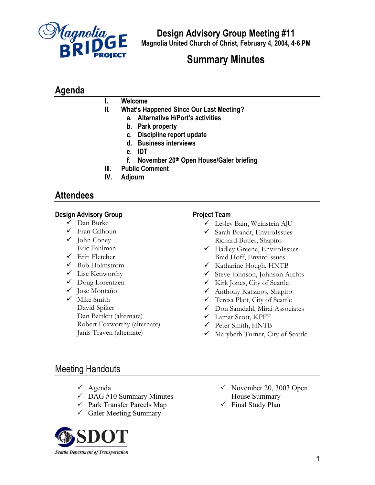

**Design Advisory Group Meeting #11 Magnolia United Church of Christ, February 4, 2004, 4-6 PM**

# **Summary Minutes**

## **Agenda**

## **I. Welcome**

- **II. What's Happened Since Our Last Meeting?**
	- **a. Alternative H/Port's activities**
	- **b. Park property**
	- **c. Discipline report update**
	- **d. Business interviews**
	- **e. IDT**
	- **f. November 20th Open House/Galer briefing**
- **III. Public Comment**
- **IV. Adjourn**

## **Attendees**

## **Design Advisory Group**

- $\checkmark$  Dan Burke
- $\checkmark$  Fran Calhoun
- $\checkmark$  John Coney Eric Fahlman
- $\checkmark$  Erin Fletcher
- $\checkmark$  Bob Holmstrom
- $\checkmark$  Lise Kenworthy
- $\checkmark$  Doug Lorentzen
- √ Jose Montaño
- $\checkmark$  Mike Smith David Spiker Dan Bartlett (alternate) Robert Foxworthy (alternate) Janis Traven (alternate)

## **Project Team**

- $\checkmark$  Lesley Bain, Weinstein A|U
- $\checkmark$  Sarah Brandt, EnviroIssues Richard Butler, Shapiro
- 9 Hadley Greene, EnviroIssues Brad Hoff, EnviroIssues
- $\checkmark$  Katharine Hough, HNTB
- $\checkmark$  Steve Johnson, Johnson Archts
- $\checkmark$  Kirk Jones, City of Seattle
- 9 Anthony Katsaros, Shapiro
- $\checkmark$  Teresa Platt, City of Seattle
- 9 Don Samdahl, Mirai Associates
- 9 Lamar Scott, KPFF
- $\checkmark$  Peter Smith, HNTB
- $\checkmark$  Marybeth Turner, City of Seattle

## Meeting Handouts

- $\checkmark$  Agenda
- $\checkmark$  DAG #10 Summary Minutes
- $\checkmark$  Park Transfer Parcels Map
- $\checkmark$  Galer Meeting Summary



- $\checkmark$  November 20, 3003 Open House Summary
- $\checkmark$  Final Study Plan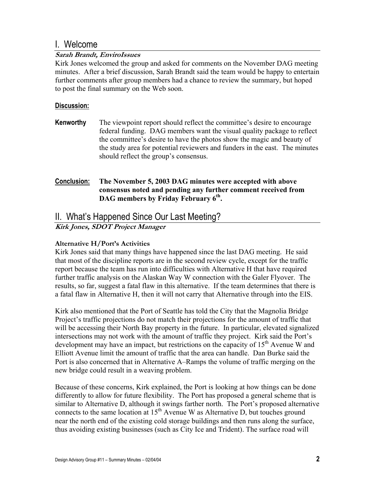## I. Welcome

### **Sarah Brandt, EnviroIssues**

Kirk Jones welcomed the group and asked for comments on the November DAG meeting minutes. After a brief discussion, Sarah Brandt said the team would be happy to entertain further comments after group members had a chance to review the summary, but hoped to post the final summary on the Web soon.

### **Discussion:**

**Kenworthy** The viewpoint report should reflect the committee's desire to encourage federal funding. DAG members want the visual quality package to reflect the committee's desire to have the photos show the magic and beauty of the study area for potential reviewers and funders in the east. The minutes should reflect the group's consensus.

## **Conclusion: The November 5, 2003 DAG minutes were accepted with above consensus noted and pending any further comment received from**  DAG members by Friday February 6<sup>th</sup>.

## II. What's Happened Since Our Last Meeting?

**Kirk Jones, SDOT Project Manager** 

## **Alternative H/Port's Activities**

Kirk Jones said that many things have happened since the last DAG meeting. He said that most of the discipline reports are in the second review cycle, except for the traffic report because the team has run into difficulties with Alternative H that have required further traffic analysis on the Alaskan Way W connection with the Galer Flyover. The results, so far, suggest a fatal flaw in this alternative. If the team determines that there is a fatal flaw in Alternative H, then it will not carry that Alternative through into the EIS.

Kirk also mentioned that the Port of Seattle has told the City that the Magnolia Bridge Project's traffic projections do not match their projections for the amount of traffic that will be accessing their North Bay property in the future. In particular, elevated signalized intersections may not work with the amount of traffic they project. Kirk said the Port's development may have an impact, but restrictions on the capacity of  $15<sup>th</sup>$  Avenue W and Elliott Avenue limit the amount of traffic that the area can handle. Dan Burke said the Port is also concerned that in Alternative A–Ramps the volume of traffic merging on the new bridge could result in a weaving problem.

Because of these concerns, Kirk explained, the Port is looking at how things can be done differently to allow for future flexibility. The Port has proposed a general scheme that is similar to Alternative D, although it swings farther north. The Port's proposed alternative connects to the same location at  $15<sup>th</sup>$  Avenue W as Alternative D, but touches ground near the north end of the existing cold storage buildings and then runs along the surface, thus avoiding existing businesses (such as City Ice and Trident). The surface road will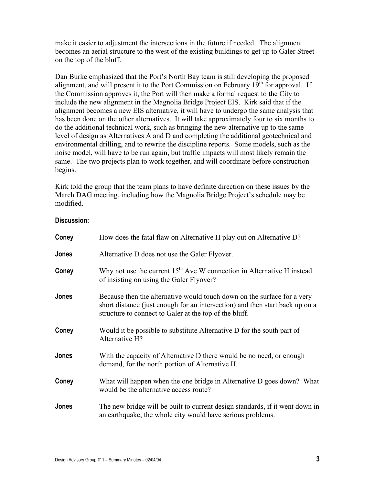make it easier to adjustment the intersections in the future if needed. The alignment becomes an aerial structure to the west of the existing buildings to get up to Galer Street on the top of the bluff.

Dan Burke emphasized that the Port's North Bay team is still developing the proposed alignment, and will present it to the Port Commission on February  $19<sup>th</sup>$  for approval. If the Commission approves it, the Port will then make a formal request to the City to include the new alignment in the Magnolia Bridge Project EIS. Kirk said that if the alignment becomes a new EIS alternative, it will have to undergo the same analysis that has been done on the other alternatives. It will take approximately four to six months to do the additional technical work, such as bringing the new alternative up to the same level of design as Alternatives A and D and completing the additional geotechnical and environmental drilling, and to rewrite the discipline reports. Some models, such as the noise model, will have to be run again, but traffic impacts will most likely remain the same. The two projects plan to work together, and will coordinate before construction begins.

Kirk told the group that the team plans to have definite direction on these issues by the March DAG meeting, including how the Magnolia Bridge Project's schedule may be modified.

| Coney | How does the fatal flaw on Alternative H play out on Alternative D?                                                                                                                                               |
|-------|-------------------------------------------------------------------------------------------------------------------------------------------------------------------------------------------------------------------|
| Jones | Alternative D does not use the Galer Flyover.                                                                                                                                                                     |
| Coney | Why not use the current $15th$ Ave W connection in Alternative H instead<br>of insisting on using the Galer Flyover?                                                                                              |
| Jones | Because then the alternative would touch down on the surface for a very<br>short distance (just enough for an intersection) and then start back up on a<br>structure to connect to Galer at the top of the bluff. |
| Coney | Would it be possible to substitute Alternative D for the south part of<br>Alternative H?                                                                                                                          |
| Jones | With the capacity of Alternative D there would be no need, or enough<br>demand, for the north portion of Alternative H.                                                                                           |
| Coney | What will happen when the one bridge in Alternative D goes down? What<br>would be the alternative access route?                                                                                                   |
| Jones | The new bridge will be built to current design standards, if it went down in<br>an earthquake, the whole city would have serious problems.                                                                        |

#### **Discussion:**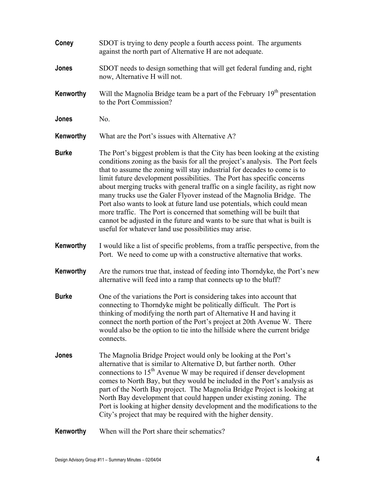| Coney        | SDOT is trying to deny people a fourth access point. The arguments<br>against the north part of Alternative H are not adequate.                                                                                                                                                                                                                                                                                                                                                                                                                                                                                                                                                                                                                                          |
|--------------|--------------------------------------------------------------------------------------------------------------------------------------------------------------------------------------------------------------------------------------------------------------------------------------------------------------------------------------------------------------------------------------------------------------------------------------------------------------------------------------------------------------------------------------------------------------------------------------------------------------------------------------------------------------------------------------------------------------------------------------------------------------------------|
| Jones        | SDOT needs to design something that will get federal funding and, right<br>now, Alternative H will not.                                                                                                                                                                                                                                                                                                                                                                                                                                                                                                                                                                                                                                                                  |
| Kenworthy    | Will the Magnolia Bridge team be a part of the February 19 <sup>th</sup> presentation<br>to the Port Commission?                                                                                                                                                                                                                                                                                                                                                                                                                                                                                                                                                                                                                                                         |
| Jones        | No.                                                                                                                                                                                                                                                                                                                                                                                                                                                                                                                                                                                                                                                                                                                                                                      |
| Kenworthy    | What are the Port's issues with Alternative A?                                                                                                                                                                                                                                                                                                                                                                                                                                                                                                                                                                                                                                                                                                                           |
| <b>Burke</b> | The Port's biggest problem is that the City has been looking at the existing<br>conditions zoning as the basis for all the project's analysis. The Port feels<br>that to assume the zoning will stay industrial for decades to come is to<br>limit future development possibilities. The Port has specific concerns<br>about merging trucks with general traffic on a single facility, as right now<br>many trucks use the Galer Flyover instead of the Magnolia Bridge. The<br>Port also wants to look at future land use potentials, which could mean<br>more traffic. The Port is concerned that something will be built that<br>cannot be adjusted in the future and wants to be sure that what is built is<br>useful for whatever land use possibilities may arise. |
| Kenworthy    | I would like a list of specific problems, from a traffic perspective, from the<br>Port. We need to come up with a constructive alternative that works.                                                                                                                                                                                                                                                                                                                                                                                                                                                                                                                                                                                                                   |
| Kenworthy    | Are the rumors true that, instead of feeding into Thorndyke, the Port's new<br>alternative will feed into a ramp that connects up to the bluff?                                                                                                                                                                                                                                                                                                                                                                                                                                                                                                                                                                                                                          |
| <b>Burke</b> | One of the variations the Port is considering takes into account that<br>connecting to Thorndyke might be politically difficult. The Port is<br>thinking of modifying the north part of Alternative H and having it<br>connect the north portion of the Port's project at 20th Avenue W. There<br>would also be the option to tie into the hillside where the current bridge<br>connects.                                                                                                                                                                                                                                                                                                                                                                                |
| Jones        | The Magnolia Bridge Project would only be looking at the Port's<br>alternative that is similar to Alternative D, but farther north. Other<br>connections to 15 <sup>th</sup> Avenue W may be required if denser development<br>comes to North Bay, but they would be included in the Port's analysis as<br>part of the North Bay project. The Magnolia Bridge Project is looking at<br>North Bay development that could happen under existing zoning. The<br>Port is looking at higher density development and the modifications to the<br>City's project that may be required with the higher density.                                                                                                                                                                  |
| Kenworthy    | When will the Port share their schematics?                                                                                                                                                                                                                                                                                                                                                                                                                                                                                                                                                                                                                                                                                                                               |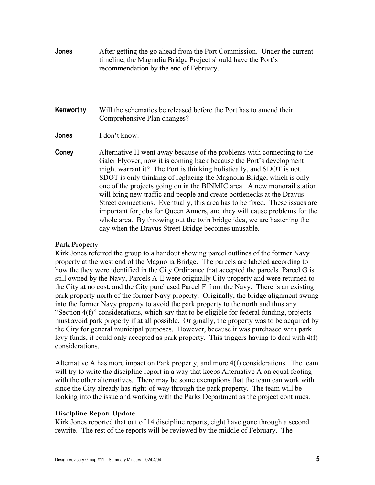- **Jones** After getting the go ahead from the Port Commission. Under the current timeline, the Magnolia Bridge Project should have the Port's recommendation by the end of February.
- **Kenworthy** Will the schematics be released before the Port has to amend their Comprehensive Plan changes?
- **Jones** I don't know.
- **Coney** Alternative H went away because of the problems with connecting to the Galer Flyover, now it is coming back because the Port's development might warrant it? The Port is thinking holistically, and SDOT is not. SDOT is only thinking of replacing the Magnolia Bridge, which is only one of the projects going on in the BINMIC area. A new monorail station will bring new traffic and people and create bottlenecks at the Dravus Street connections. Eventually, this area has to be fixed. These issues are important for jobs for Queen Anners, and they will cause problems for the whole area. By throwing out the twin bridge idea, we are hastening the day when the Dravus Street Bridge becomes unusable.

#### **Park Property**

Kirk Jones referred the group to a handout showing parcel outlines of the former Navy property at the west end of the Magnolia Bridge. The parcels are labeled according to how the they were identified in the City Ordinance that accepted the parcels. Parcel G is still owned by the Navy, Parcels A-E were originally City property and were returned to the City at no cost, and the City purchased Parcel F from the Navy. There is an existing park property north of the former Navy property. Originally, the bridge alignment swung into the former Navy property to avoid the park property to the north and thus any "Section 4(f)" considerations, which say that to be eligible for federal funding, projects must avoid park property if at all possible. Originally, the property was to be acquired by the City for general municipal purposes. However, because it was purchased with park levy funds, it could only accepted as park property. This triggers having to deal with 4(f) considerations.

Alternative A has more impact on Park property, and more  $4(f)$  considerations. The team will try to write the discipline report in a way that keeps Alternative A on equal footing with the other alternatives. There may be some exemptions that the team can work with since the City already has right-of-way through the park property. The team will be looking into the issue and working with the Parks Department as the project continues.

#### **Discipline Report Update**

Kirk Jones reported that out of 14 discipline reports, eight have gone through a second rewrite. The rest of the reports will be reviewed by the middle of February. The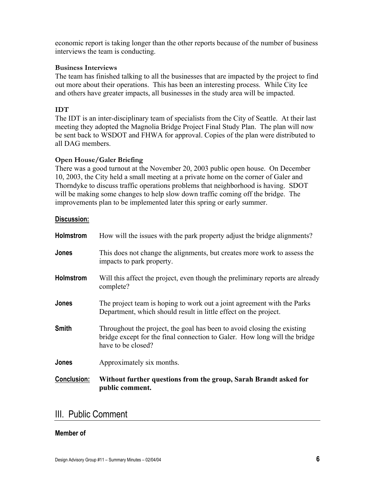economic report is taking longer than the other reports because of the number of business interviews the team is conducting.

#### **Business Interviews**

The team has finished talking to all the businesses that are impacted by the project to find out more about their operations. This has been an interesting process. While City Ice and others have greater impacts, all businesses in the study area will be impacted.

### **IDT**

The IDT is an inter-disciplinary team of specialists from the City of Seattle. At their last meeting they adopted the Magnolia Bridge Project Final Study Plan. The plan will now be sent back to WSDOT and FHWA for approval. Copies of the plan were distributed to all DAG members.

### **Open House/Galer Briefing**

There was a good turnout at the November 20, 2003 public open house. On December 10, 2003, the City held a small meeting at a private home on the corner of Galer and Thorndyke to discuss traffic operations problems that neighborhood is having. SDOT will be making some changes to help slow down traffic coming off the bridge. The improvements plan to be implemented later this spring or early summer.

#### **Discussion:**

| Holmstrom          | How will the issues with the park property adjust the bridge alignments?                                                                                                   |
|--------------------|----------------------------------------------------------------------------------------------------------------------------------------------------------------------------|
| Jones              | This does not change the alignments, but creates more work to assess the<br>impacts to park property.                                                                      |
| Holmstrom          | Will this affect the project, even though the preliminary reports are already<br>complete?                                                                                 |
| Jones              | The project team is hoping to work out a joint agreement with the Parks<br>Department, which should result in little effect on the project.                                |
| <b>Smith</b>       | Throughout the project, the goal has been to avoid closing the existing<br>bridge except for the final connection to Galer. How long will the bridge<br>have to be closed? |
| Jones              | Approximately six months.                                                                                                                                                  |
| <b>Conclusion:</b> | Without further questions from the group, Sarah Brandt asked for<br>public comment.                                                                                        |

## III. Public Comment

### **Member of**